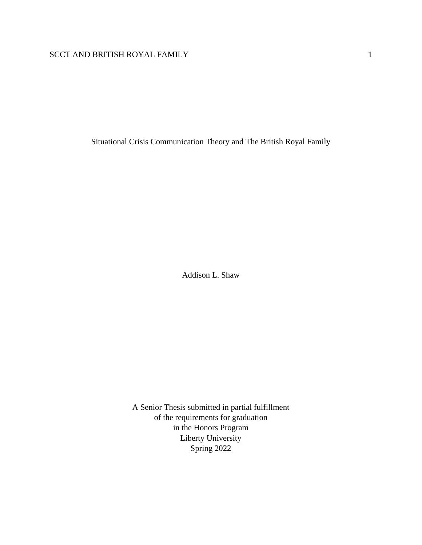Situational Crisis Communication Theory and The British Royal Family

Addison L. Shaw

A Senior Thesis submitted in partial fulfillment of the requirements for graduation in the Honors Program Liberty University Spring 2022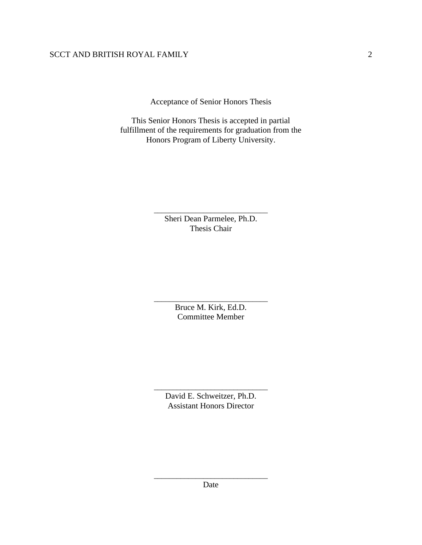Acceptance of Senior Honors Thesis

This Senior Honors Thesis is accepted in partial fulfillment of the requirements for graduation from the Honors Program of Liberty University.

> \_\_\_\_\_\_\_\_\_\_\_\_\_\_\_\_\_\_\_\_\_\_\_\_\_\_\_\_\_\_ Sheri Dean Parmelee, Ph.D. Thesis Chair

> \_\_\_\_\_\_\_\_\_\_\_\_\_\_\_\_\_\_\_\_\_\_\_\_\_\_\_\_\_\_ Bruce M. Kirk, Ed.D. Committee Member

David E. Schweitzer, Ph.D. Assistant Honors Director

\_\_\_\_\_\_\_\_\_\_\_\_\_\_\_\_\_\_\_\_\_\_\_\_\_\_\_\_\_\_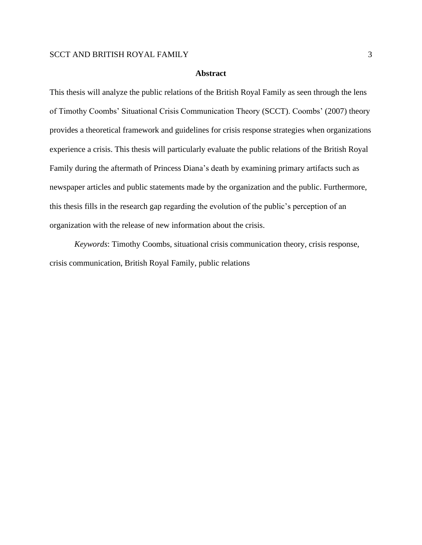#### **Abstract**

This thesis will analyze the public relations of the British Royal Family as seen through the lens of Timothy Coombs' Situational Crisis Communication Theory (SCCT). Coombs' (2007) theory provides a theoretical framework and guidelines for crisis response strategies when organizations experience a crisis. This thesis will particularly evaluate the public relations of the British Royal Family during the aftermath of Princess Diana's death by examining primary artifacts such as newspaper articles and public statements made by the organization and the public. Furthermore, this thesis fills in the research gap regarding the evolution of the public's perception of an organization with the release of new information about the crisis.

*Keywords*: Timothy Coombs, situational crisis communication theory, crisis response, crisis communication, British Royal Family, public relations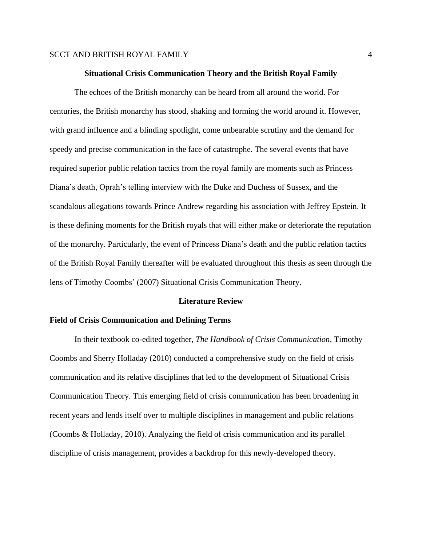#### **Situational Crisis Communication Theory and the British Royal Family**

The echoes of the British monarchy can be heard from all around the world. For centuries, the British monarchy has stood, shaking and forming the world around it. However, with grand influence and a blinding spotlight, come unbearable scrutiny and the demand for speedy and precise communication in the face of catastrophe. The several events that have required superior public relation tactics from the royal family are moments such as Princess Diana's death, Oprah's telling interview with the Duke and Duchess of Sussex, and the scandalous allegations towards Prince Andrew regarding his association with Jeffrey Epstein. It is these defining moments for the British royals that will either make or deteriorate the reputation of the monarchy. Particularly, the event of Princess Diana's death and the public relation tactics of the British Royal Family thereafter will be evaluated throughout this thesis as seen through the lens of Timothy Coombs' (2007) Situational Crisis Communication Theory.

#### **Literature Review**

#### **Field of Crisis Communication and Defining Terms**

In their textbook co-edited together, *The Handbook of Crisis Communication*, Timothy Coombs and Sherry Holladay (2010) conducted a comprehensive study on the field of crisis communication and its relative disciplines that led to the development of Situational Crisis Communication Theory. This emerging field of crisis communication has been broadening in recent years and lends itself over to multiple disciplines in management and public relations (Coombs & Holladay, 2010). Analyzing the field of crisis communication and its parallel discipline of crisis management, provides a backdrop for this newly-developed theory.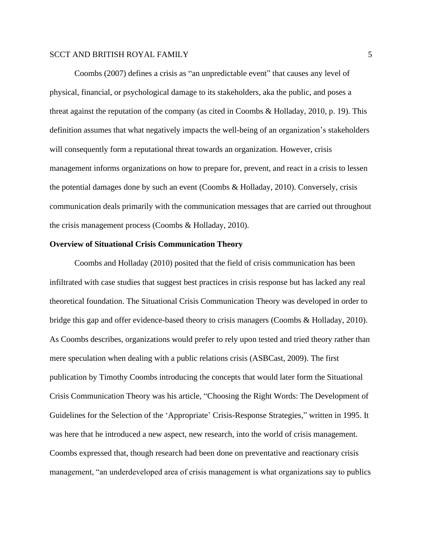Coombs (2007) defines a crisis as "an unpredictable event" that causes any level of physical, financial, or psychological damage to its stakeholders, aka the public, and poses a threat against the reputation of the company (as cited in Coombs & Holladay, 2010, p. 19). This definition assumes that what negatively impacts the well-being of an organization's stakeholders will consequently form a reputational threat towards an organization. However, crisis management informs organizations on how to prepare for, prevent, and react in a crisis to lessen the potential damages done by such an event (Coombs & Holladay, 2010). Conversely, crisis communication deals primarily with the communication messages that are carried out throughout the crisis management process (Coombs & Holladay, 2010).

## **Overview of Situational Crisis Communication Theory**

Coombs and Holladay (2010) posited that the field of crisis communication has been infiltrated with case studies that suggest best practices in crisis response but has lacked any real theoretical foundation. The Situational Crisis Communication Theory was developed in order to bridge this gap and offer evidence-based theory to crisis managers (Coombs & Holladay, 2010). As Coombs describes, organizations would prefer to rely upon tested and tried theory rather than mere speculation when dealing with a public relations crisis (ASBCast, 2009). The first publication by Timothy Coombs introducing the concepts that would later form the Situational Crisis Communication Theory was his article, "Choosing the Right Words: The Development of Guidelines for the Selection of the 'Appropriate' Crisis-Response Strategies," written in 1995. It was here that he introduced a new aspect, new research, into the world of crisis management. Coombs expressed that, though research had been done on preventative and reactionary crisis management, "an underdeveloped area of crisis management is what organizations say to publics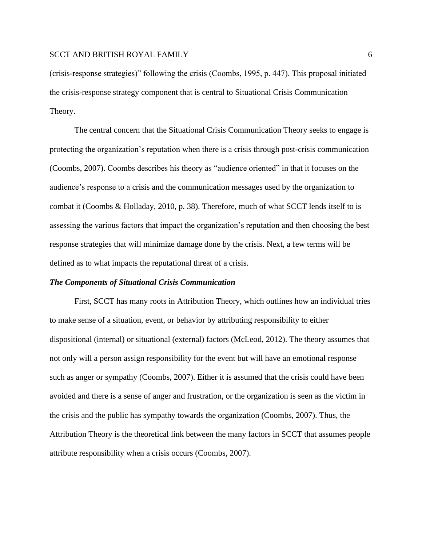(crisis-response strategies)" following the crisis (Coombs, 1995, p. 447). This proposal initiated the crisis-response strategy component that is central to Situational Crisis Communication Theory.

The central concern that the Situational Crisis Communication Theory seeks to engage is protecting the organization's reputation when there is a crisis through post-crisis communication (Coombs, 2007). Coombs describes his theory as "audience oriented" in that it focuses on the audience's response to a crisis and the communication messages used by the organization to combat it (Coombs & Holladay, 2010, p. 38). Therefore, much of what SCCT lends itself to is assessing the various factors that impact the organization's reputation and then choosing the best response strategies that will minimize damage done by the crisis. Next, a few terms will be defined as to what impacts the reputational threat of a crisis.

## *The Components of Situational Crisis Communication*

First, SCCT has many roots in Attribution Theory, which outlines how an individual tries to make sense of a situation, event, or behavior by attributing responsibility to either dispositional (internal) or situational (external) factors (McLeod, 2012). The theory assumes that not only will a person assign responsibility for the event but will have an emotional response such as anger or sympathy (Coombs, 2007). Either it is assumed that the crisis could have been avoided and there is a sense of anger and frustration, or the organization is seen as the victim in the crisis and the public has sympathy towards the organization (Coombs, 2007). Thus, the Attribution Theory is the theoretical link between the many factors in SCCT that assumes people attribute responsibility when a crisis occurs (Coombs, 2007).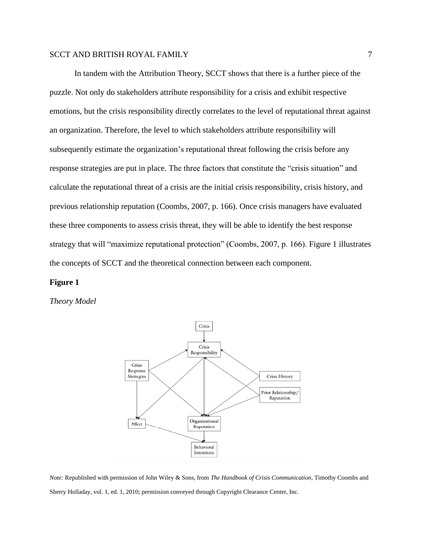In tandem with the Attribution Theory, SCCT shows that there is a further piece of the puzzle. Not only do stakeholders attribute responsibility for a crisis and exhibit respective emotions, but the crisis responsibility directly correlates to the level of reputational threat against an organization. Therefore, the level to which stakeholders attribute responsibility will subsequently estimate the organization's reputational threat following the crisis before any response strategies are put in place. The three factors that constitute the "crisis situation" and calculate the reputational threat of a crisis are the initial crisis responsibility, crisis history, and previous relationship reputation (Coombs, 2007, p. 166). Once crisis managers have evaluated these three components to assess crisis threat, they will be able to identify the best response strategy that will "maximize reputational protection" (Coombs, 2007, p. 166). Figure 1 illustrates the concepts of SCCT and the theoretical connection between each component.

#### **Figure 1**

*Theory Model*



*Note:* Republished with permission of John Wiley & Sons, from *The Handbook of Crisis Communication*, Timothy Coombs and Sherry Holladay, vol. 1, ed. 1, 2010; permission conveyed through Copyright Clearance Center, Inc.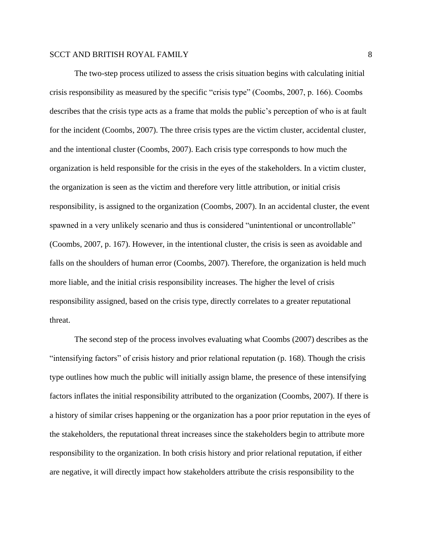The two-step process utilized to assess the crisis situation begins with calculating initial crisis responsibility as measured by the specific "crisis type" (Coombs, 2007, p. 166). Coombs describes that the crisis type acts as a frame that molds the public's perception of who is at fault for the incident (Coombs, 2007). The three crisis types are the victim cluster, accidental cluster, and the intentional cluster (Coombs, 2007). Each crisis type corresponds to how much the organization is held responsible for the crisis in the eyes of the stakeholders. In a victim cluster, the organization is seen as the victim and therefore very little attribution, or initial crisis responsibility, is assigned to the organization (Coombs, 2007). In an accidental cluster, the event spawned in a very unlikely scenario and thus is considered "unintentional or uncontrollable" (Coombs, 2007, p. 167). However, in the intentional cluster, the crisis is seen as avoidable and falls on the shoulders of human error (Coombs, 2007). Therefore, the organization is held much more liable, and the initial crisis responsibility increases. The higher the level of crisis responsibility assigned, based on the crisis type, directly correlates to a greater reputational threat.

The second step of the process involves evaluating what Coombs (2007) describes as the "intensifying factors" of crisis history and prior relational reputation (p. 168). Though the crisis type outlines how much the public will initially assign blame, the presence of these intensifying factors inflates the initial responsibility attributed to the organization (Coombs, 2007). If there is a history of similar crises happening or the organization has a poor prior reputation in the eyes of the stakeholders, the reputational threat increases since the stakeholders begin to attribute more responsibility to the organization. In both crisis history and prior relational reputation, if either are negative, it will directly impact how stakeholders attribute the crisis responsibility to the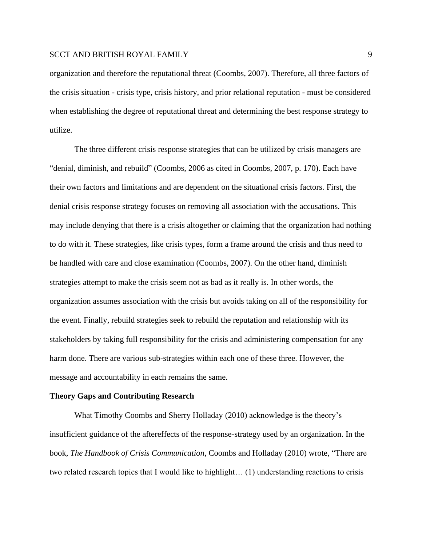organization and therefore the reputational threat (Coombs, 2007). Therefore, all three factors of the crisis situation - crisis type, crisis history, and prior relational reputation - must be considered when establishing the degree of reputational threat and determining the best response strategy to utilize.

The three different crisis response strategies that can be utilized by crisis managers are "denial, diminish, and rebuild" (Coombs, 2006 as cited in Coombs, 2007, p. 170). Each have their own factors and limitations and are dependent on the situational crisis factors. First, the denial crisis response strategy focuses on removing all association with the accusations. This may include denying that there is a crisis altogether or claiming that the organization had nothing to do with it. These strategies, like crisis types, form a frame around the crisis and thus need to be handled with care and close examination (Coombs, 2007). On the other hand, diminish strategies attempt to make the crisis seem not as bad as it really is. In other words, the organization assumes association with the crisis but avoids taking on all of the responsibility for the event. Finally, rebuild strategies seek to rebuild the reputation and relationship with its stakeholders by taking full responsibility for the crisis and administering compensation for any harm done. There are various sub-strategies within each one of these three. However, the message and accountability in each remains the same.

#### **Theory Gaps and Contributing Research**

What Timothy Coombs and Sherry Holladay (2010) acknowledge is the theory's insufficient guidance of the aftereffects of the response-strategy used by an organization. In the book, *The Handbook of Crisis Communication*, Coombs and Holladay (2010) wrote, "There are two related research topics that I would like to highlight… (1) understanding reactions to crisis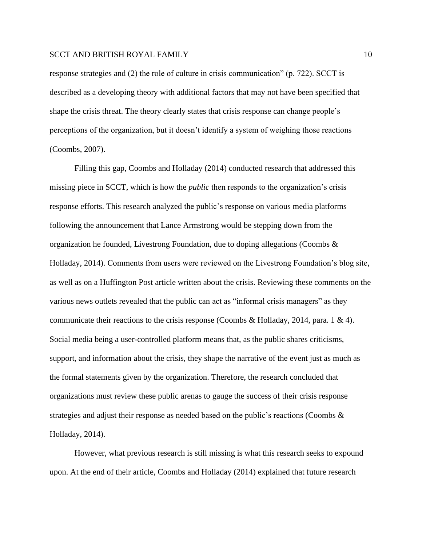response strategies and (2) the role of culture in crisis communication" (p. 722). SCCT is described as a developing theory with additional factors that may not have been specified that shape the crisis threat. The theory clearly states that crisis response can change people's perceptions of the organization, but it doesn't identify a system of weighing those reactions (Coombs, 2007).

Filling this gap, Coombs and Holladay (2014) conducted research that addressed this missing piece in SCCT, which is how the *public* then responds to the organization's crisis response efforts. This research analyzed the public's response on various media platforms following the announcement that Lance Armstrong would be stepping down from the organization he founded, Livestrong Foundation, due to doping allegations (Coombs & Holladay, 2014). Comments from users were reviewed on the Livestrong Foundation's blog site, as well as on a Huffington Post article written about the crisis. Reviewing these comments on the various news outlets revealed that the public can act as "informal crisis managers" as they communicate their reactions to the crisis response (Coombs & Holladay, 2014, para. 1 & 4). Social media being a user-controlled platform means that, as the public shares criticisms, support, and information about the crisis, they shape the narrative of the event just as much as the formal statements given by the organization. Therefore, the research concluded that organizations must review these public arenas to gauge the success of their crisis response strategies and adjust their response as needed based on the public's reactions (Coombs & Holladay, 2014).

However, what previous research is still missing is what this research seeks to expound upon. At the end of their article, Coombs and Holladay (2014) explained that future research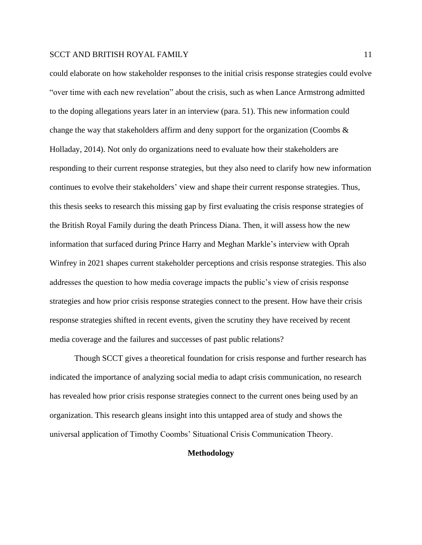could elaborate on how stakeholder responses to the initial crisis response strategies could evolve "over time with each new revelation" about the crisis, such as when Lance Armstrong admitted to the doping allegations years later in an interview (para. 51). This new information could change the way that stakeholders affirm and deny support for the organization (Coombs  $\&$ Holladay, 2014). Not only do organizations need to evaluate how their stakeholders are responding to their current response strategies, but they also need to clarify how new information continues to evolve their stakeholders' view and shape their current response strategies. Thus, this thesis seeks to research this missing gap by first evaluating the crisis response strategies of the British Royal Family during the death Princess Diana. Then, it will assess how the new information that surfaced during Prince Harry and Meghan Markle's interview with Oprah Winfrey in 2021 shapes current stakeholder perceptions and crisis response strategies. This also addresses the question to how media coverage impacts the public's view of crisis response strategies and how prior crisis response strategies connect to the present. How have their crisis response strategies shifted in recent events, given the scrutiny they have received by recent media coverage and the failures and successes of past public relations?

Though SCCT gives a theoretical foundation for crisis response and further research has indicated the importance of analyzing social media to adapt crisis communication, no research has revealed how prior crisis response strategies connect to the current ones being used by an organization. This research gleans insight into this untapped area of study and shows the universal application of Timothy Coombs' Situational Crisis Communication Theory.

#### **Methodology**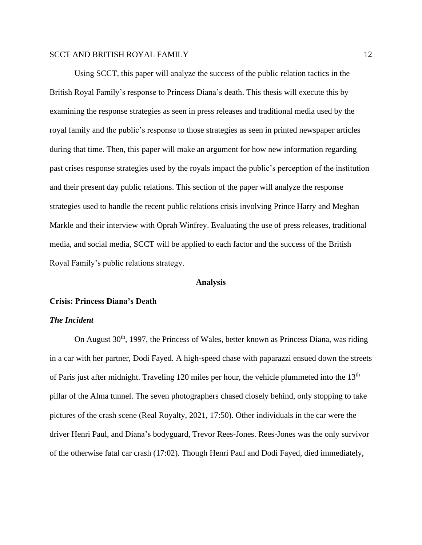Using SCCT, this paper will analyze the success of the public relation tactics in the British Royal Family's response to Princess Diana's death. This thesis will execute this by examining the response strategies as seen in press releases and traditional media used by the royal family and the public's response to those strategies as seen in printed newspaper articles during that time. Then, this paper will make an argument for how new information regarding past crises response strategies used by the royals impact the public's perception of the institution and their present day public relations. This section of the paper will analyze the response strategies used to handle the recent public relations crisis involving Prince Harry and Meghan Markle and their interview with Oprah Winfrey. Evaluating the use of press releases, traditional media, and social media, SCCT will be applied to each factor and the success of the British Royal Family's public relations strategy.

#### **Analysis**

#### **Crisis: Princess Diana's Death**

#### *The Incident*

On August  $30<sup>th</sup>$ , 1997, the Princess of Wales, better known as Princess Diana, was riding in a car with her partner, Dodi Fayed. A high-speed chase with paparazzi ensued down the streets of Paris just after midnight. Traveling 120 miles per hour, the vehicle plummeted into the 13<sup>th</sup> pillar of the Alma tunnel. The seven photographers chased closely behind, only stopping to take pictures of the crash scene (Real Royalty, 2021, 17:50). Other individuals in the car were the driver Henri Paul, and Diana's bodyguard, Trevor Rees-Jones. Rees-Jones was the only survivor of the otherwise fatal car crash (17:02). Though Henri Paul and Dodi Fayed, died immediately,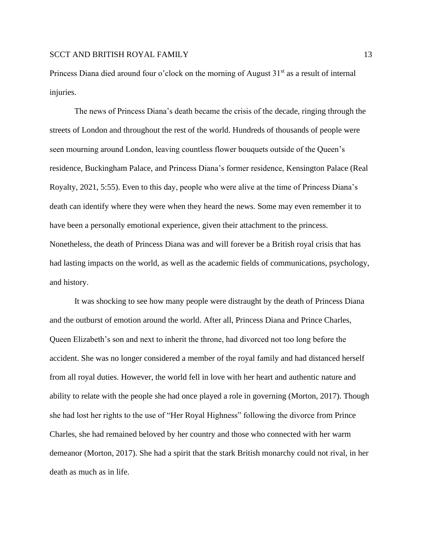Princess Diana died around four o'clock on the morning of August  $31<sup>st</sup>$  as a result of internal injuries.

The news of Princess Diana's death became the crisis of the decade, ringing through the streets of London and throughout the rest of the world. Hundreds of thousands of people were seen mourning around London, leaving countless flower bouquets outside of the Queen's residence, Buckingham Palace, and Princess Diana's former residence, Kensington Palace (Real Royalty, 2021, 5:55). Even to this day, people who were alive at the time of Princess Diana's death can identify where they were when they heard the news. Some may even remember it to have been a personally emotional experience, given their attachment to the princess. Nonetheless, the death of Princess Diana was and will forever be a British royal crisis that has had lasting impacts on the world, as well as the academic fields of communications, psychology, and history.

It was shocking to see how many people were distraught by the death of Princess Diana and the outburst of emotion around the world. After all, Princess Diana and Prince Charles, Queen Elizabeth's son and next to inherit the throne, had divorced not too long before the accident. She was no longer considered a member of the royal family and had distanced herself from all royal duties. However, the world fell in love with her heart and authentic nature and ability to relate with the people she had once played a role in governing (Morton, 2017). Though she had lost her rights to the use of "Her Royal Highness" following the divorce from Prince Charles, she had remained beloved by her country and those who connected with her warm demeanor (Morton, 2017). She had a spirit that the stark British monarchy could not rival, in her death as much as in life.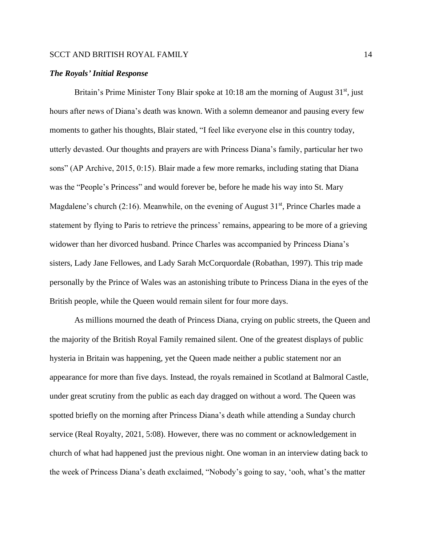#### *The Royals' Initial Response*

Britain's Prime Minister Tony Blair spoke at  $10:18$  am the morning of August  $31<sup>st</sup>$ , just hours after news of Diana's death was known. With a solemn demeanor and pausing every few moments to gather his thoughts, Blair stated, "I feel like everyone else in this country today, utterly devasted. Our thoughts and prayers are with Princess Diana's family, particular her two sons" (AP Archive, 2015, 0:15). Blair made a few more remarks, including stating that Diana was the "People's Princess" and would forever be, before he made his way into St. Mary Magdalene's church (2:16). Meanwhile, on the evening of August  $31<sup>st</sup>$ , Prince Charles made a statement by flying to Paris to retrieve the princess' remains, appearing to be more of a grieving widower than her divorced husband. Prince Charles was accompanied by Princess Diana's sisters, Lady Jane Fellowes, and Lady Sarah McCorquordale (Robathan, 1997). This trip made personally by the Prince of Wales was an astonishing tribute to Princess Diana in the eyes of the British people, while the Queen would remain silent for four more days.

As millions mourned the death of Princess Diana, crying on public streets, the Queen and the majority of the British Royal Family remained silent. One of the greatest displays of public hysteria in Britain was happening, yet the Queen made neither a public statement nor an appearance for more than five days. Instead, the royals remained in Scotland at Balmoral Castle, under great scrutiny from the public as each day dragged on without a word. The Queen was spotted briefly on the morning after Princess Diana's death while attending a Sunday church service (Real Royalty, 2021, 5:08). However, there was no comment or acknowledgement in church of what had happened just the previous night. One woman in an interview dating back to the week of Princess Diana's death exclaimed, "Nobody's going to say, 'ooh, what's the matter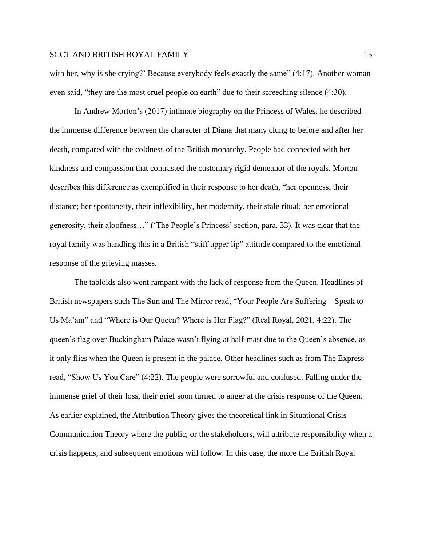with her, why is she crying?' Because everybody feels exactly the same" (4:17). Another woman even said, "they are the most cruel people on earth" due to their screeching silence (4:30).

In Andrew Morton's (2017) intimate biography on the Princess of Wales, he described the immense difference between the character of Diana that many clung to before and after her death, compared with the coldness of the British monarchy. People had connected with her kindness and compassion that contrasted the customary rigid demeanor of the royals. Morton describes this difference as exemplified in their response to her death, "her openness, their distance; her spontaneity, their inflexibility, her modernity, their stale ritual; her emotional generosity, their aloofness…" ('The People's Princess' section, para. 33). It was clear that the royal family was handling this in a British "stiff upper lip" attitude compared to the emotional response of the grieving masses.

The tabloids also went rampant with the lack of response from the Queen. Headlines of British newspapers such The Sun and The Mirror read, "Your People Are Suffering – Speak to Us Ma'am" and "Where is Our Queen? Where is Her Flag?" (Real Royal, 2021, 4:22). The queen's flag over Buckingham Palace wasn't flying at half-mast due to the Queen's absence, as it only flies when the Queen is present in the palace. Other headlines such as from The Express read, "Show Us You Care" (4:22). The people were sorrowful and confused. Falling under the immense grief of their loss, their grief soon turned to anger at the crisis response of the Queen. As earlier explained, the Attribution Theory gives the theoretical link in Situational Crisis Communication Theory where the public, or the stakeholders, will attribute responsibility when a crisis happens, and subsequent emotions will follow. In this case, the more the British Royal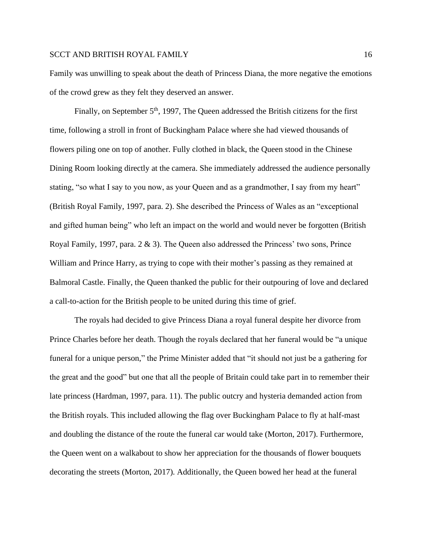Family was unwilling to speak about the death of Princess Diana, the more negative the emotions of the crowd grew as they felt they deserved an answer.

Finally, on September  $5<sup>th</sup>$ , 1997, The Queen addressed the British citizens for the first time, following a stroll in front of Buckingham Palace where she had viewed thousands of flowers piling one on top of another. Fully clothed in black, the Queen stood in the Chinese Dining Room looking directly at the camera. She immediately addressed the audience personally stating, "so what I say to you now, as your Queen and as a grandmother, I say from my heart" (British Royal Family, 1997, para. 2). She described the Princess of Wales as an "exceptional and gifted human being" who left an impact on the world and would never be forgotten (British Royal Family, 1997, para. 2 & 3). The Queen also addressed the Princess' two sons, Prince William and Prince Harry, as trying to cope with their mother's passing as they remained at Balmoral Castle. Finally, the Queen thanked the public for their outpouring of love and declared a call-to-action for the British people to be united during this time of grief.

The royals had decided to give Princess Diana a royal funeral despite her divorce from Prince Charles before her death. Though the royals declared that her funeral would be "a unique funeral for a unique person," the Prime Minister added that "it should not just be a gathering for the great and the good" but one that all the people of Britain could take part in to remember their late princess (Hardman, 1997, para. 11). The public outcry and hysteria demanded action from the British royals. This included allowing the flag over Buckingham Palace to fly at half-mast and doubling the distance of the route the funeral car would take (Morton, 2017). Furthermore, the Queen went on a walkabout to show her appreciation for the thousands of flower bouquets decorating the streets (Morton, 2017). Additionally, the Queen bowed her head at the funeral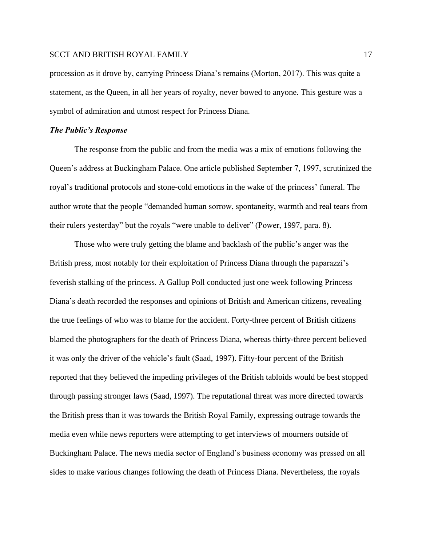procession as it drove by, carrying Princess Diana's remains (Morton, 2017). This was quite a statement, as the Queen, in all her years of royalty, never bowed to anyone. This gesture was a symbol of admiration and utmost respect for Princess Diana.

## *The Public's Response*

The response from the public and from the media was a mix of emotions following the Queen's address at Buckingham Palace. One article published September 7, 1997, scrutinized the royal's traditional protocols and stone-cold emotions in the wake of the princess' funeral. The author wrote that the people "demanded human sorrow, spontaneity, warmth and real tears from their rulers yesterday" but the royals "were unable to deliver" (Power, 1997, para. 8).

Those who were truly getting the blame and backlash of the public's anger was the British press, most notably for their exploitation of Princess Diana through the paparazzi's feverish stalking of the princess. A Gallup Poll conducted just one week following Princess Diana's death recorded the responses and opinions of British and American citizens, revealing the true feelings of who was to blame for the accident. Forty-three percent of British citizens blamed the photographers for the death of Princess Diana, whereas thirty-three percent believed it was only the driver of the vehicle's fault (Saad, 1997). Fifty-four percent of the British reported that they believed the impeding privileges of the British tabloids would be best stopped through passing stronger laws (Saad, 1997). The reputational threat was more directed towards the British press than it was towards the British Royal Family, expressing outrage towards the media even while news reporters were attempting to get interviews of mourners outside of Buckingham Palace. The news media sector of England's business economy was pressed on all sides to make various changes following the death of Princess Diana. Nevertheless, the royals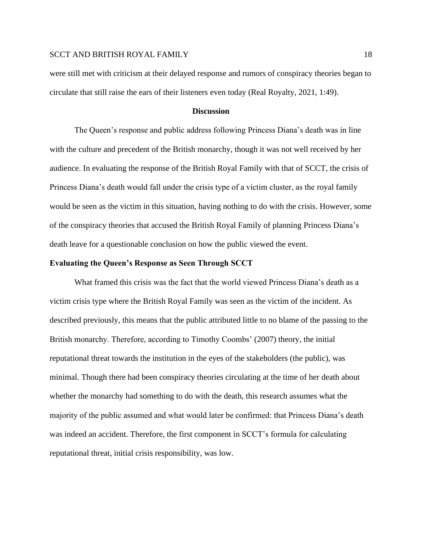were still met with criticism at their delayed response and rumors of conspiracy theories began to circulate that still raise the ears of their listeners even today (Real Royalty, 2021, 1:49).

#### **Discussion**

The Queen's response and public address following Princess Diana's death was in line with the culture and precedent of the British monarchy, though it was not well received by her audience. In evaluating the response of the British Royal Family with that of SCCT, the crisis of Princess Diana's death would fall under the crisis type of a victim cluster, as the royal family would be seen as the victim in this situation, having nothing to do with the crisis. However, some of the conspiracy theories that accused the British Royal Family of planning Princess Diana's death leave for a questionable conclusion on how the public viewed the event.

#### **Evaluating the Queen's Response as Seen Through SCCT**

What framed this crisis was the fact that the world viewed Princess Diana's death as a victim crisis type where the British Royal Family was seen as the victim of the incident. As described previously, this means that the public attributed little to no blame of the passing to the British monarchy. Therefore, according to Timothy Coombs' (2007) theory, the initial reputational threat towards the institution in the eyes of the stakeholders (the public), was minimal. Though there had been conspiracy theories circulating at the time of her death about whether the monarchy had something to do with the death, this research assumes what the majority of the public assumed and what would later be confirmed: that Princess Diana's death was indeed an accident. Therefore, the first component in SCCT's formula for calculating reputational threat, initial crisis responsibility, was low.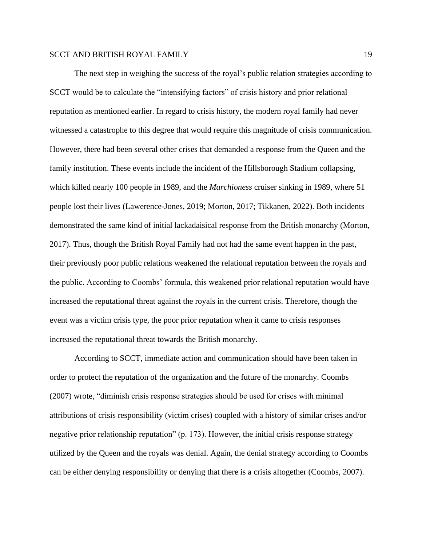The next step in weighing the success of the royal's public relation strategies according to SCCT would be to calculate the "intensifying factors" of crisis history and prior relational reputation as mentioned earlier. In regard to crisis history, the modern royal family had never witnessed a catastrophe to this degree that would require this magnitude of crisis communication. However, there had been several other crises that demanded a response from the Queen and the family institution. These events include the incident of the Hillsborough Stadium collapsing, which killed nearly 100 people in 1989, and the *Marchioness* cruiser sinking in 1989, where 51 people lost their lives (Lawerence-Jones, 2019; Morton, 2017; Tikkanen, 2022). Both incidents demonstrated the same kind of initial lackadaisical response from the British monarchy (Morton, 2017). Thus, though the British Royal Family had not had the same event happen in the past, their previously poor public relations weakened the relational reputation between the royals and the public. According to Coombs' formula, this weakened prior relational reputation would have increased the reputational threat against the royals in the current crisis. Therefore, though the event was a victim crisis type, the poor prior reputation when it came to crisis responses increased the reputational threat towards the British monarchy.

According to SCCT, immediate action and communication should have been taken in order to protect the reputation of the organization and the future of the monarchy. Coombs (2007) wrote, "diminish crisis response strategies should be used for crises with minimal attributions of crisis responsibility (victim crises) coupled with a history of similar crises and/or negative prior relationship reputation" (p. 173). However, the initial crisis response strategy utilized by the Queen and the royals was denial. Again, the denial strategy according to Coombs can be either denying responsibility or denying that there is a crisis altogether (Coombs, 2007).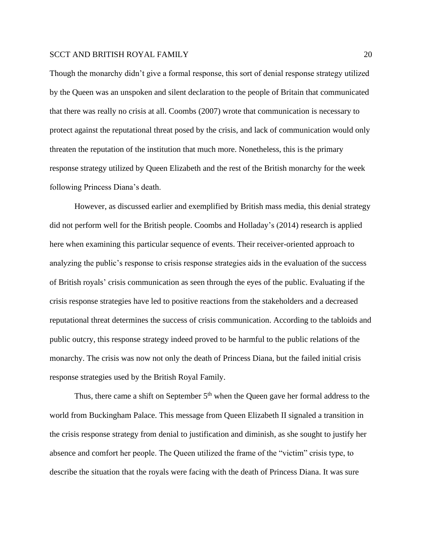Though the monarchy didn't give a formal response, this sort of denial response strategy utilized by the Queen was an unspoken and silent declaration to the people of Britain that communicated that there was really no crisis at all. Coombs (2007) wrote that communication is necessary to protect against the reputational threat posed by the crisis, and lack of communication would only threaten the reputation of the institution that much more. Nonetheless, this is the primary response strategy utilized by Queen Elizabeth and the rest of the British monarchy for the week following Princess Diana's death.

However, as discussed earlier and exemplified by British mass media, this denial strategy did not perform well for the British people. Coombs and Holladay's (2014) research is applied here when examining this particular sequence of events. Their receiver-oriented approach to analyzing the public's response to crisis response strategies aids in the evaluation of the success of British royals' crisis communication as seen through the eyes of the public. Evaluating if the crisis response strategies have led to positive reactions from the stakeholders and a decreased reputational threat determines the success of crisis communication. According to the tabloids and public outcry, this response strategy indeed proved to be harmful to the public relations of the monarchy. The crisis was now not only the death of Princess Diana, but the failed initial crisis response strategies used by the British Royal Family.

Thus, there came a shift on September  $5<sup>th</sup>$  when the Queen gave her formal address to the world from Buckingham Palace. This message from Queen Elizabeth II signaled a transition in the crisis response strategy from denial to justification and diminish, as she sought to justify her absence and comfort her people. The Queen utilized the frame of the "victim" crisis type, to describe the situation that the royals were facing with the death of Princess Diana. It was sure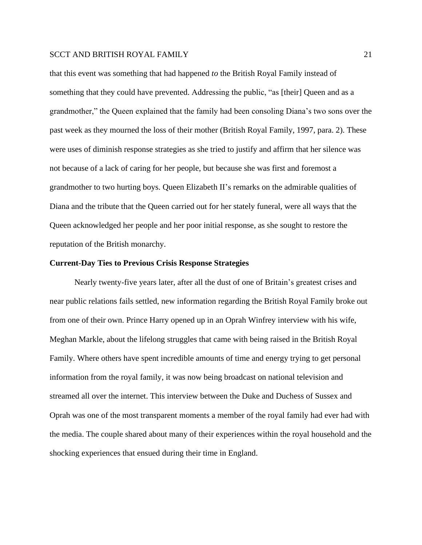that this event was something that had happened *to* the British Royal Family instead of something that they could have prevented. Addressing the public, "as [their] Queen and as a grandmother," the Queen explained that the family had been consoling Diana's two sons over the past week as they mourned the loss of their mother (British Royal Family, 1997, para. 2). These were uses of diminish response strategies as she tried to justify and affirm that her silence was not because of a lack of caring for her people, but because she was first and foremost a grandmother to two hurting boys. Queen Elizabeth II's remarks on the admirable qualities of Diana and the tribute that the Queen carried out for her stately funeral, were all ways that the Queen acknowledged her people and her poor initial response, as she sought to restore the reputation of the British monarchy.

# **Current-Day Ties to Previous Crisis Response Strategies**

Nearly twenty-five years later, after all the dust of one of Britain's greatest crises and near public relations fails settled, new information regarding the British Royal Family broke out from one of their own. Prince Harry opened up in an Oprah Winfrey interview with his wife, Meghan Markle, about the lifelong struggles that came with being raised in the British Royal Family. Where others have spent incredible amounts of time and energy trying to get personal information from the royal family, it was now being broadcast on national television and streamed all over the internet. This interview between the Duke and Duchess of Sussex and Oprah was one of the most transparent moments a member of the royal family had ever had with the media. The couple shared about many of their experiences within the royal household and the shocking experiences that ensued during their time in England.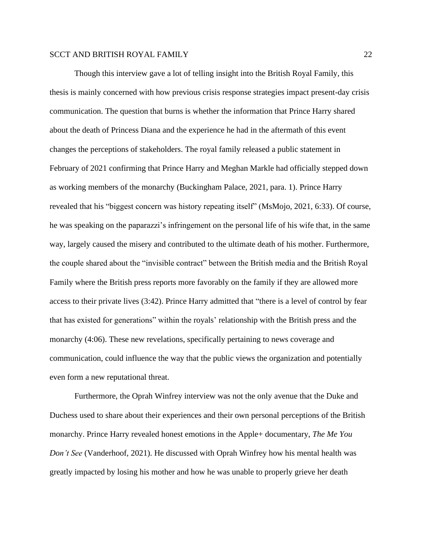Though this interview gave a lot of telling insight into the British Royal Family, this thesis is mainly concerned with how previous crisis response strategies impact present-day crisis communication. The question that burns is whether the information that Prince Harry shared about the death of Princess Diana and the experience he had in the aftermath of this event changes the perceptions of stakeholders. The royal family released a public statement in February of 2021 confirming that Prince Harry and Meghan Markle had officially stepped down as working members of the monarchy (Buckingham Palace, 2021, para. 1). Prince Harry revealed that his "biggest concern was history repeating itself" (MsMojo, 2021, 6:33). Of course, he was speaking on the paparazzi's infringement on the personal life of his wife that, in the same way, largely caused the misery and contributed to the ultimate death of his mother. Furthermore, the couple shared about the "invisible contract" between the British media and the British Royal Family where the British press reports more favorably on the family if they are allowed more access to their private lives (3:42). Prince Harry admitted that "there is a level of control by fear that has existed for generations" within the royals' relationship with the British press and the monarchy (4:06). These new revelations, specifically pertaining to news coverage and communication, could influence the way that the public views the organization and potentially even form a new reputational threat.

Furthermore, the Oprah Winfrey interview was not the only avenue that the Duke and Duchess used to share about their experiences and their own personal perceptions of the British monarchy. Prince Harry revealed honest emotions in the Apple+ documentary, *The Me You Don't See* (Vanderhoof, 2021). He discussed with Oprah Winfrey how his mental health was greatly impacted by losing his mother and how he was unable to properly grieve her death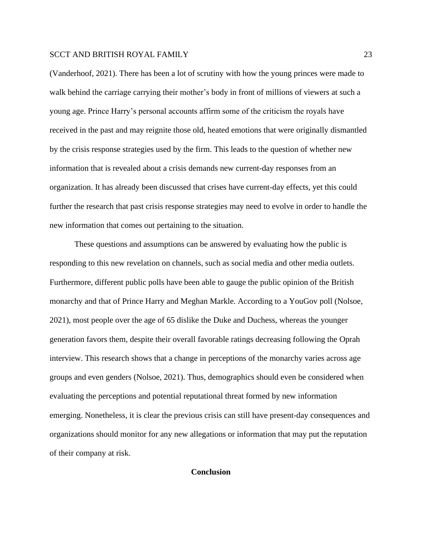(Vanderhoof, 2021). There has been a lot of scrutiny with how the young princes were made to walk behind the carriage carrying their mother's body in front of millions of viewers at such a young age. Prince Harry's personal accounts affirm some of the criticism the royals have received in the past and may reignite those old, heated emotions that were originally dismantled by the crisis response strategies used by the firm. This leads to the question of whether new information that is revealed about a crisis demands new current-day responses from an organization. It has already been discussed that crises have current-day effects, yet this could further the research that past crisis response strategies may need to evolve in order to handle the new information that comes out pertaining to the situation.

These questions and assumptions can be answered by evaluating how the public is responding to this new revelation on channels, such as social media and other media outlets. Furthermore, different public polls have been able to gauge the public opinion of the British monarchy and that of Prince Harry and Meghan Markle. According to a YouGov poll (Nolsoe, 2021), most people over the age of 65 dislike the Duke and Duchess, whereas the younger generation favors them, despite their overall favorable ratings decreasing following the Oprah interview. This research shows that a change in perceptions of the monarchy varies across age groups and even genders (Nolsoe, 2021). Thus, demographics should even be considered when evaluating the perceptions and potential reputational threat formed by new information emerging. Nonetheless, it is clear the previous crisis can still have present-day consequences and organizations should monitor for any new allegations or information that may put the reputation of their company at risk.

## **Conclusion**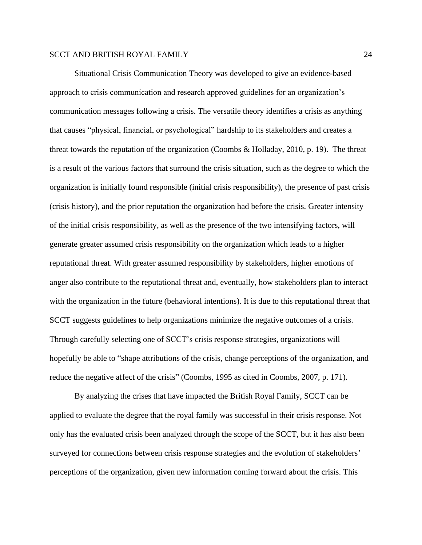Situational Crisis Communication Theory was developed to give an evidence-based approach to crisis communication and research approved guidelines for an organization's communication messages following a crisis. The versatile theory identifies a crisis as anything that causes "physical, financial, or psychological" hardship to its stakeholders and creates a threat towards the reputation of the organization (Coombs  $\&$  Holladay, 2010, p. 19). The threat is a result of the various factors that surround the crisis situation, such as the degree to which the organization is initially found responsible (initial crisis responsibility), the presence of past crisis (crisis history), and the prior reputation the organization had before the crisis. Greater intensity of the initial crisis responsibility, as well as the presence of the two intensifying factors, will generate greater assumed crisis responsibility on the organization which leads to a higher reputational threat. With greater assumed responsibility by stakeholders, higher emotions of anger also contribute to the reputational threat and, eventually, how stakeholders plan to interact with the organization in the future (behavioral intentions). It is due to this reputational threat that SCCT suggests guidelines to help organizations minimize the negative outcomes of a crisis. Through carefully selecting one of SCCT's crisis response strategies, organizations will hopefully be able to "shape attributions of the crisis, change perceptions of the organization, and reduce the negative affect of the crisis" (Coombs, 1995 as cited in Coombs, 2007, p. 171).

By analyzing the crises that have impacted the British Royal Family, SCCT can be applied to evaluate the degree that the royal family was successful in their crisis response. Not only has the evaluated crisis been analyzed through the scope of the SCCT, but it has also been surveyed for connections between crisis response strategies and the evolution of stakeholders' perceptions of the organization, given new information coming forward about the crisis. This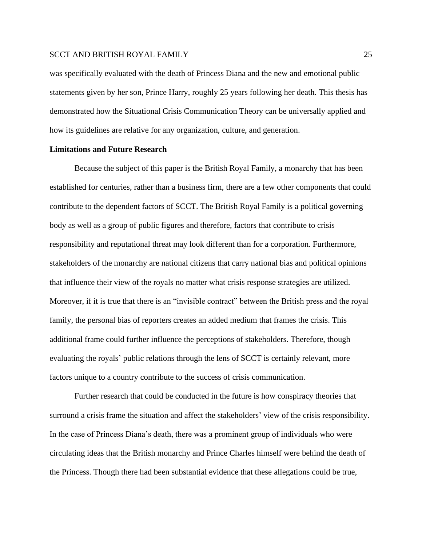was specifically evaluated with the death of Princess Diana and the new and emotional public statements given by her son, Prince Harry, roughly 25 years following her death. This thesis has demonstrated how the Situational Crisis Communication Theory can be universally applied and how its guidelines are relative for any organization, culture, and generation.

## **Limitations and Future Research**

Because the subject of this paper is the British Royal Family, a monarchy that has been established for centuries, rather than a business firm, there are a few other components that could contribute to the dependent factors of SCCT. The British Royal Family is a political governing body as well as a group of public figures and therefore, factors that contribute to crisis responsibility and reputational threat may look different than for a corporation. Furthermore, stakeholders of the monarchy are national citizens that carry national bias and political opinions that influence their view of the royals no matter what crisis response strategies are utilized. Moreover, if it is true that there is an "invisible contract" between the British press and the royal family, the personal bias of reporters creates an added medium that frames the crisis. This additional frame could further influence the perceptions of stakeholders. Therefore, though evaluating the royals' public relations through the lens of SCCT is certainly relevant, more factors unique to a country contribute to the success of crisis communication.

Further research that could be conducted in the future is how conspiracy theories that surround a crisis frame the situation and affect the stakeholders' view of the crisis responsibility. In the case of Princess Diana's death, there was a prominent group of individuals who were circulating ideas that the British monarchy and Prince Charles himself were behind the death of the Princess. Though there had been substantial evidence that these allegations could be true,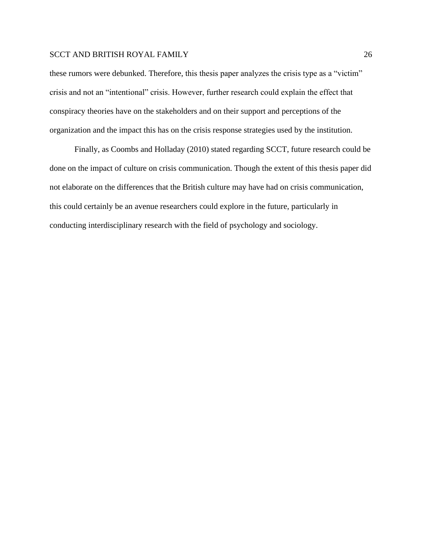these rumors were debunked. Therefore, this thesis paper analyzes the crisis type as a "victim" crisis and not an "intentional" crisis. However, further research could explain the effect that conspiracy theories have on the stakeholders and on their support and perceptions of the organization and the impact this has on the crisis response strategies used by the institution.

Finally, as Coombs and Holladay (2010) stated regarding SCCT, future research could be done on the impact of culture on crisis communication. Though the extent of this thesis paper did not elaborate on the differences that the British culture may have had on crisis communication, this could certainly be an avenue researchers could explore in the future, particularly in conducting interdisciplinary research with the field of psychology and sociology.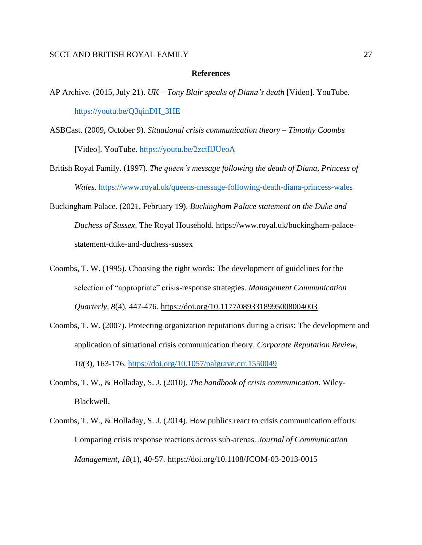#### **References**

- AP Archive. (2015, July 21). *UK – Tony Blair speaks of Diana's death* [Video]. YouTube. [https://youtu.be/Q3qinDH\\_3HE](https://youtu.be/Q3qinDH_3HE)
- ASBCast. (2009, October 9). *Situational crisis communication theory – Timothy Coombs* [Video]. YouTube. <https://youtu.be/2zctIlJUeoA>
- British Royal Family. (1997). *The queen's message following the death of Diana, Princess of Wales*. <https://www.royal.uk/queens-message-following-death-diana-princess-wales>
- Buckingham Palace. (2021, February 19). *Buckingham Palace statement on the Duke and Duchess of Sussex*. The Royal Household. [https://www.royal.uk/buckingham-palace](https://www.royal.uk/buckingham-palace-statement-duke-and-duchess-sussex)[statement-duke-and-duchess-sussex](https://www.royal.uk/buckingham-palace-statement-duke-and-duchess-sussex)
- Coombs, T. W. (1995). Choosing the right words: The development of guidelines for the selection of "appropriate" crisis-response strategies. *Management Communication Quarterly, 8*(4), 447-476. [https://doi.org/10.1177/0893318995008004003](https://doi.org/10.1177%2F0893318995008004003)
- Coombs, T. W. (2007). Protecting organization reputations during a crisis: The development and application of situational crisis communication theory. *Corporate Reputation Review, 10*(3), 163-176.<https://doi.org/10.1057/palgrave.crr.1550049>
- Coombs, T. W., & Holladay, S. J. (2010). *The handbook of crisis communication*. Wiley-Blackwell.
- Coombs, T. W., & Holladay, S. J. (2014). How publics react to crisis communication efforts: Comparing crisis response reactions across sub-arenas. *Journal of Communication Management, 18*(1), 40-57.<https://doi.org/10.1108/JCOM-03-2013-0015>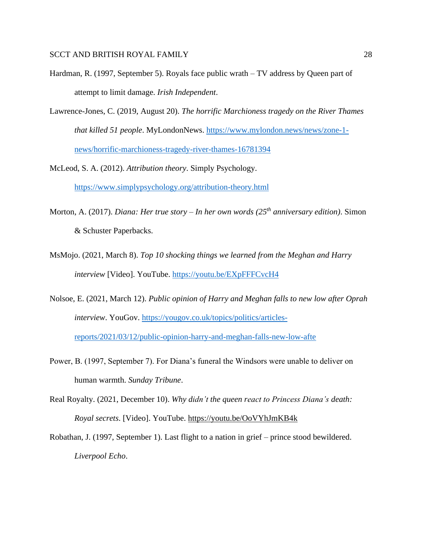- Hardman, R. (1997, September 5). Royals face public wrath TV address by Queen part of attempt to limit damage. *Irish Independent*.
- Lawrence-Jones, C. (2019, August 20). *The horrific Marchioness tragedy on the River Thames that killed 51 people*. MyLondonNews. [https://www.mylondon.news/news/zone-1](https://www.mylondon.news/news/zone-1-news/horrific-marchioness-tragedy-river-thames-16781394) [news/horrific-marchioness-tragedy-river-thames-16781394](https://www.mylondon.news/news/zone-1-news/horrific-marchioness-tragedy-river-thames-16781394)

McLeod, S. A. (2012). *Attribution theory*. Simply Psychology. <https://www.simplypsychology.org/attribution-theory.html>

- Morton, A. (2017). *Diana: Her true story – In her own words (25th anniversary edition)*. Simon & Schuster Paperbacks.
- MsMojo. (2021, March 8). *Top 10 shocking things we learned from the Meghan and Harry interview* [Video]. YouTube.<https://youtu.be/EXpFFFCvcH4>
- Nolsoe, E. (2021, March 12). *Public opinion of Harry and Meghan falls to new low after Oprah interview*. YouGov. [https://yougov.co.uk/topics/politics/articles](https://yougov.co.uk/topics/politics/articles-reports/2021/03/12/public-opinion-harry-and-meghan-falls-new-low-afte)[reports/2021/03/12/public-opinion-harry-and-meghan-falls-new-low-afte](https://yougov.co.uk/topics/politics/articles-reports/2021/03/12/public-opinion-harry-and-meghan-falls-new-low-afte)
- Power, B. (1997, September 7). For Diana's funeral the Windsors were unable to deliver on human warmth. *Sunday Tribune*.
- Real Royalty. (2021, December 10). *Why didn't the queen react to Princess Diana's death: Royal secrets*. [Video]. YouTube.<https://youtu.be/OoVYhJmKB4k>
- Robathan, J. (1997, September 1). Last flight to a nation in grief prince stood bewildered. *Liverpool Echo*.